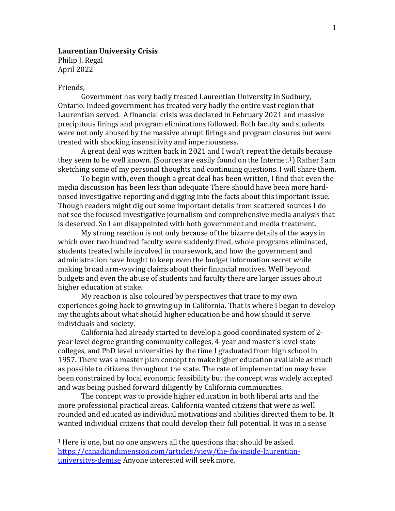# **Laurentian University Crisis** Philip J. Regal April 2022

# Friends,

 $\overline{a}$ 

Government has very badly treated Laurentian University in Sudbury, Ontario. Indeed government has treated very badly the entire vast region that Laurentian served. A financial crisis was declared in February 2021 and massive precipitous firings and program eliminations followed. Both faculty and students were not only abused by the massive abrupt firings and program closures but were treated with shocking insensitivity and imperiousness.

A great deal was written back in 2021 and I won't repeat the details because they seem to be well known. (Sources are easily found on the Internet. <sup>1</sup>) Rather I am sketching some of my personal thoughts and continuing questions. I will share them.

To begin with, even though a great deal has been written, I find that even the media discussion has been less than adequate There should have been more hardnosed investigative reporting and digging into the facts about this important issue. Though readers might dig out some important details from scattered sources I do not see the focused investigative journalism and comprehensive media analysis that is deserved. So I am disappointed with both government and media treatment.

My strong reaction is not only because of the bizarre details of the ways in which over two hundred faculty were suddenly fired, whole programs eliminated, students treated while involved in coursework, and how the government and administration have fought to keep even the budget information secret while making broad arm-waving claims about their financial motives. Well beyond budgets and even the abuse of students and faculty there are larger issues about higher education at stake.

My reaction is also coloured by perspectives that trace to my own experiences going back to growing up in California. That is where I began to develop my thoughts about what should higher education be and how should it serve individuals and society.

California had already started to develop a good coordinated system of 2 year level degree granting community colleges, 4-year and master's level state colleges, and PhD level universities by the time I graduated from high school in 1957. There was a master plan concept to make higher education available as much as possible to citizens throughout the state. The rate of implementation may have been constrained by local economic feasibility but the concept was widely accepted and was being pushed forward diligently by California communities.

The concept was to provide higher education in both liberal arts and the more professional practical areas. California wanted citizens that were as well rounded and educated as individual motivations and abilities directed them to be. It wanted individual citizens that could develop their full potential. It was in a sense

<sup>&</sup>lt;sup>1</sup> Here is one, but no one answers all the questions that should be asked. [https://canadiandimension.com/articles/view/the-fix-inside-laurentian](https://canadiandimension.com/articles/view/the-fix-inside-laurentian-universitys-demise)[universitys-demise](https://canadiandimension.com/articles/view/the-fix-inside-laurentian-universitys-demise) Anyone interested will seek more.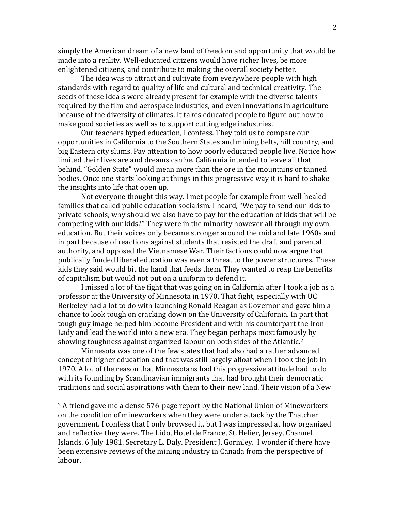simply the American dream of a new land of freedom and opportunity that would be made into a reality. Well-educated citizens would have richer lives, be more enlightened citizens, and contribute to making the overall society better.

The idea was to attract and cultivate from everywhere people with high standards with regard to quality of life and cultural and technical creativity. The seeds of these ideals were already present for example with the diverse talents required by the film and aerospace industries, and even innovations in agriculture because of the diversity of climates. It takes educated people to figure out how to make good societies as well as to support cutting edge industries.

Our teachers hyped education, I confess. They told us to compare our opportunities in California to the Southern States and mining belts, hill country, and big Eastern city slums. Pay attention to how poorly educated people live. Notice how limited their lives are and dreams can be. California intended to leave all that behind. "Golden State" would mean more than the ore in the mountains or tanned bodies. Once one starts looking at things in this progressive way it is hard to shake the insights into life that open up.

Not everyone thought this way. I met people for example from well-healed families that called public education socialism. I heard, "We pay to send our kids to private schools, why should we also have to pay for the education of kids that will be competing with our kids?" They were in the minority however all through my own education. But their voices only became stronger around the mid and late 1960s and in part because of reactions against students that resisted the draft and parental authority, and opposed the Vietnamese War. Their factions could now argue that publically funded liberal education was even a threat to the power structures. These kids they said would bit the hand that feeds them. They wanted to reap the benefits of capitalism but would not put on a uniform to defend it.

I missed a lot of the fight that was going on in California after I took a job as a professor at the University of Minnesota in 1970. That fight, especially with UC Berkeley had a lot to do with launching Ronald Reagan as Governor and gave him a chance to look tough on cracking down on the University of California. In part that tough guy image helped him become President and with his counterpart the Iron Lady and lead the world into a new era. They began perhaps most famously by showing toughness against organized labour on both sides of the Atlantic.<sup>2</sup>

Minnesota was one of the few states that had also had a rather advanced concept of higher education and that was still largely afloat when I took the job in 1970. A lot of the reason that Minnesotans had this progressive attitude had to do with its founding by Scandinavian immigrants that had brought their democratic traditions and social aspirations with them to their new land. Their vision of a New

 $\overline{a}$ 

 $2A$  friend gave me a dense 576-page report by the National Union of Mineworkers on the condition of mineworkers when they were under attack by the Thatcher government. I confess that I only browsed it, but I was impressed at how organized and reflective they were. The Lido, Hotel de France, St. Helier, Jersey, Channel Islands. 6 July 1981. Secretary L. Daly. President J. Gormley. I wonder if there have been extensive reviews of the mining industry in Canada from the perspective of labour.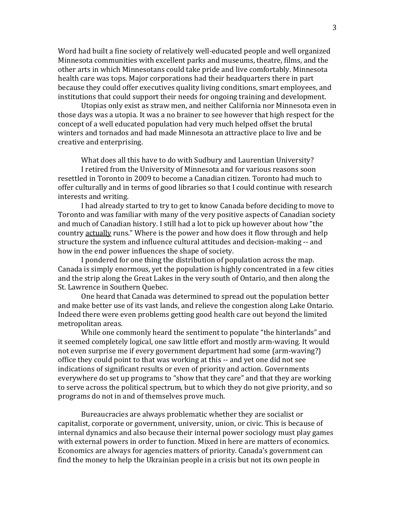Word had built a fine society of relatively well-educated people and well organized Minnesota communities with excellent parks and museums, theatre, films, and the other arts in which Minnesotans could take pride and live comfortably. Minnesota health care was tops. Major corporations had their headquarters there in part because they could offer executives quality living conditions, smart employees, and institutions that could support their needs for ongoing training and development.

Utopias only exist as straw men, and neither California nor Minnesota even in those days was a utopia. It was a no brainer to see however that high respect for the concept of a well educated population had very much helped offset the brutal winters and tornados and had made Minnesota an attractive place to live and be creative and enterprising.

What does all this have to do with Sudbury and Laurentian University? I retired from the University of Minnesota and for various reasons soon resettled in Toronto in 2009 to become a Canadian citizen. Toronto had much to offer culturally and in terms of good libraries so that I could continue with research

interests and writing.

I had already started to try to get to know Canada before deciding to move to Toronto and was familiar with many of the very positive aspects of Canadian society and much of Canadian history. I still had a lot to pick up however about how "the country actually runs." Where is the power and how does it flow through and help structure the system and influence cultural attitudes and decision-making -- and how in the end power influences the shape of society.

I pondered for one thing the distribution of population across the map. Canada is simply enormous, yet the population is highly concentrated in a few cities and the strip along the Great Lakes in the very south of Ontario, and then along the St. Lawrence in Southern Quebec.

One heard that Canada was determined to spread out the population better and make better use of its vast lands, and relieve the congestion along Lake Ontario. Indeed there were even problems getting good health care out beyond the limited metropolitan areas.

While one commonly heard the sentiment to populate "the hinterlands" and it seemed completely logical, one saw little effort and mostly arm-waving. It would not even surprise me if every government department had some (arm-waving?) office they could point to that was working at this -- and yet one did not see indications of significant results or even of priority and action. Governments everywhere do set up programs to "show that they care" and that they are working to serve across the political spectrum, but to which they do not give priority, and so programs do not in and of themselves prove much.

Bureaucracies are always problematic whether they are socialist or capitalist, corporate or government, university, union, or civic. This is because of internal dynamics and also because their internal power sociology must play games with external powers in order to function. Mixed in here are matters of economics. Economics are always for agencies matters of priority. Canada's government can find the money to help the Ukrainian people in a crisis but not its own people in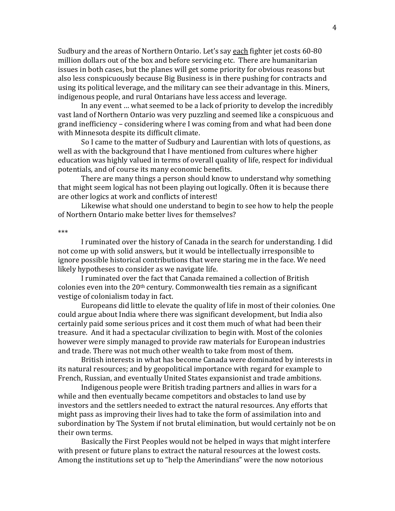Sudbury and the areas of Northern Ontario. Let's say each fighter jet costs 60-80 million dollars out of the box and before servicing etc. There are humanitarian issues in both cases, but the planes will get some priority for obvious reasons but also less conspicuously because Big Business is in there pushing for contracts and using its political leverage, and the military can see their advantage in this. Miners, indigenous people, and rural Ontarians have less access and leverage.

In any event … what seemed to be a lack of priority to develop the incredibly vast land of Northern Ontario was very puzzling and seemed like a conspicuous and grand inefficiency – considering where I was coming from and what had been done with Minnesota despite its difficult climate.

So I came to the matter of Sudbury and Laurentian with lots of questions, as well as with the background that I have mentioned from cultures where higher education was highly valued in terms of overall quality of life, respect for individual potentials, and of course its many economic benefits.

There are many things a person should know to understand why something that might seem logical has not been playing out logically. Often it is because there are other logics at work and conflicts of interest!

Likewise what should one understand to begin to see how to help the people of Northern Ontario make better lives for themselves?

\*\*\*

I ruminated over the history of Canada in the search for understanding. I did not come up with solid answers, but it would be intellectually irresponsible to ignore possible historical contributions that were staring me in the face. We need likely hypotheses to consider as we navigate life.

I ruminated over the fact that Canada remained a collection of British colonies even into the  $20<sup>th</sup>$  century. Commonwealth ties remain as a significant vestige of colonialism today in fact.

Europeans did little to elevate the quality of life in most of their colonies. One could argue about India where there was significant development, but India also certainly paid some serious prices and it cost them much of what had been their treasure. And it had a spectacular civilization to begin with. Most of the colonies however were simply managed to provide raw materials for European industries and trade. There was not much other wealth to take from most of them.

British interests in what has become Canada were dominated by interests in its natural resources; and by geopolitical importance with regard for example to French, Russian, and eventually United States expansionist and trade ambitions.

Indigenous people were British trading partners and allies in wars for a while and then eventually became competitors and obstacles to land use by investors and the settlers needed to extract the natural resources. Any efforts that might pass as improving their lives had to take the form of assimilation into and subordination by The System if not brutal elimination, but would certainly not be on their own terms.

Basically the First Peoples would not be helped in ways that might interfere with present or future plans to extract the natural resources at the lowest costs. Among the institutions set up to "help the Amerindians" were the now notorious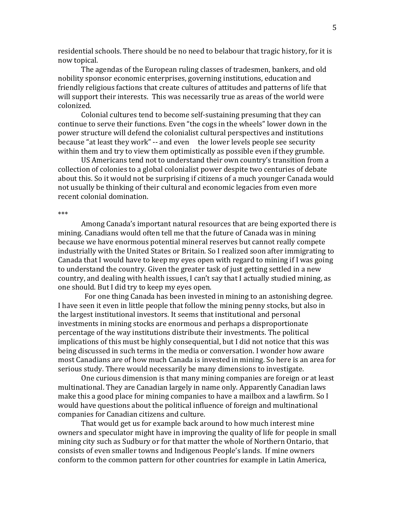residential schools. There should be no need to belabour that tragic history, for it is now topical.

The agendas of the European ruling classes of tradesmen, bankers, and old nobility sponsor economic enterprises, governing institutions, education and friendly religious factions that create cultures of attitudes and patterns of life that will support their interests. This was necessarily true as areas of the world were colonized.

Colonial cultures tend to become self-sustaining presuming that they can continue to serve their functions. Even "the cogs in the wheels" lower down in the power structure will defend the colonialist cultural perspectives and institutions because "at least they work" -- and even the lower levels people see security within them and try to view them optimistically as possible even if they grumble.

US Americans tend not to understand their own country's transition from a collection of colonies to a global colonialist power despite two centuries of debate about this. So it would not be surprising if citizens of a much younger Canada would not usually be thinking of their cultural and economic legacies from even more recent colonial domination.

\*\*\*

Among Canada's important natural resources that are being exported there is mining. Canadians would often tell me that the future of Canada was in mining because we have enormous potential mineral reserves but cannot really compete industrially with the United States or Britain. So I realized soon after immigrating to Canada that I would have to keep my eyes open with regard to mining if I was going to understand the country. Given the greater task of just getting settled in a new country, and dealing with health issues, I can't say that I actually studied mining, as one should. But I did try to keep my eyes open.

For one thing Canada has been invested in mining to an astonishing degree. I have seen it even in little people that follow the mining penny stocks, but also in the largest institutional investors. It seems that institutional and personal investments in mining stocks are enormous and perhaps a disproportionate percentage of the way institutions distribute their investments. The political implications of this must be highly consequential, but I did not notice that this was being discussed in such terms in the media or conversation. I wonder how aware most Canadians are of how much Canada is invested in mining. So here is an area for serious study. There would necessarily be many dimensions to investigate.

One curious dimension is that many mining companies are foreign or at least multinational. They are Canadian largely in name only. Apparently Canadian laws make this a good place for mining companies to have a mailbox and a lawfirm. So I would have questions about the political influence of foreign and multinational companies for Canadian citizens and culture.

That would get us for example back around to how much interest mine owners and speculator might have in improving the quality of life for people in small mining city such as Sudbury or for that matter the whole of Northern Ontario, that consists of even smaller towns and Indigenous People's lands. If mine owners conform to the common pattern for other countries for example in Latin America,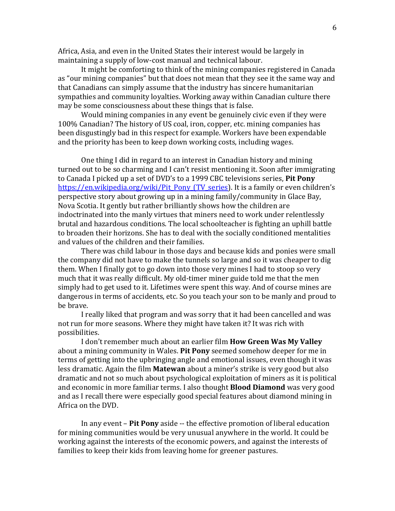Africa, Asia, and even in the United States their interest would be largely in maintaining a supply of low-cost manual and technical labour.

It might be comforting to think of the mining companies registered in Canada as "our mining companies" but that does not mean that they see it the same way and that Canadians can simply assume that the industry has sincere humanitarian sympathies and community loyalties. Working away within Canadian culture there may be some consciousness about these things that is false.

Would mining companies in any event be genuinely civic even if they were 100% Canadian? The history of US coal, iron, copper, etc. mining companies has been disgustingly bad in this respect for example. Workers have been expendable and the priority has been to keep down working costs, including wages.

One thing I did in regard to an interest in Canadian history and mining turned out to be so charming and I can't resist mentioning it. Soon after immigrating to Canada I picked up a set of DVD's to a 1999 CBC televisions series, **Pit Pony** [https://en.wikipedia.org/wiki/Pit\\_Pony\\_\(TV\\_series\)](https://en.wikipedia.org/wiki/Pit_Pony_(TV_series). It is a family or even children's perspective story about growing up in a mining family/community in Glace Bay, Nova Scotia. It gently but rather brilliantly shows how the children are indoctrinated into the manly virtues that miners need to work under relentlessly brutal and hazardous conditions. The local schoolteacher is fighting an uphill battle to broaden their horizons. She has to deal with the socially conditioned mentalities and values of the children and their families.

There was child labour in those days and because kids and ponies were small the company did not have to make the tunnels so large and so it was cheaper to dig them. When I finally got to go down into those very mines I had to stoop so very much that it was really difficult. My old-timer miner guide told me that the men simply had to get used to it. Lifetimes were spent this way. And of course mines are dangerous in terms of accidents, etc. So you teach your son to be manly and proud to be brave.

I really liked that program and was sorry that it had been cancelled and was not run for more seasons. Where they might have taken it? It was rich with possibilities.

I don't remember much about an earlier film **How Green Was My Valley** about a mining community in Wales. **Pit Pony** seemed somehow deeper for me in terms of getting into the upbringing angle and emotional issues, even though it was less dramatic. Again the film **Matewan** about a miner's strike is very good but also dramatic and not so much about psychological exploitation of miners as it is political and economic in more familiar terms. I also thought **Blood Diamond** was very good and as I recall there were especially good special features about diamond mining in Africa on the DVD.

In any event – **Pit Pony** aside -- the effective promotion of liberal education for mining communities would be very unusual anywhere in the world. It could be working against the interests of the economic powers, and against the interests of families to keep their kids from leaving home for greener pastures.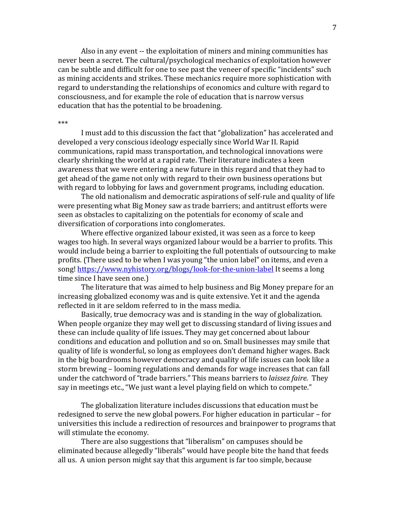Also in any event -- the exploitation of miners and mining communities has never been a secret. The cultural/psychological mechanics of exploitation however can be subtle and difficult for one to see past the veneer of specific "incidents" such as mining accidents and strikes. These mechanics require more sophistication with regard to understanding the relationships of economics and culture with regard to consciousness, and for example the role of education that is narrow versus education that has the potential to be broadening.

#### \*\*\*

I must add to this discussion the fact that "globalization" has accelerated and developed a very conscious ideology especially since World War II. Rapid communications, rapid mass transportation, and technological innovations were clearly shrinking the world at a rapid rate. Their literature indicates a keen awareness that we were entering a new future in this regard and that they had to get ahead of the game not only with regard to their own business operations but with regard to lobbying for laws and government programs, including education.

The old nationalism and democratic aspirations of self-rule and quality of life were presenting what Big Money saw as trade barriers; and antitrust efforts were seen as obstacles to capitalizing on the potentials for economy of scale and diversification of corporations into conglomerates.

Where effective organized labour existed, it was seen as a force to keep wages too high. In several ways organized labour would be a barrier to profits. This would include being a barrier to exploiting the full potentials of outsourcing to make profits. (There used to be when I was young "the union label" on items, and even a song!<https://www.nyhistory.org/blogs/look-for-the-union-label> It seems a long time since I have seen one.)

The literature that was aimed to help business and Big Money prepare for an increasing globalized economy was and is quite extensive. Yet it and the agenda reflected in it are seldom referred to in the mass media.

Basically, true democracy was and is standing in the way of globalization. When people organize they may well get to discussing standard of living issues and these can include quality of life issues. They may get concerned about labour conditions and education and pollution and so on. Small businesses may smile that quality of life is wonderful, so long as employees don't demand higher wages. Back in the big boardrooms however democracy and quality of life issues can look like a storm brewing – looming regulations and demands for wage increases that can fall under the catchword of "trade barriers." This means barriers to *laissez faire*. They say in meetings etc., "We just want a level playing field on which to compete."

The globalization literature includes discussions that education must be redesigned to serve the new global powers. For higher education in particular – for universities this include a redirection of resources and brainpower to programs that will stimulate the economy.

There are also suggestions that "liberalism" on campuses should be eliminated because allegedly "liberals" would have people bite the hand that feeds all us. A union person might say that this argument is far too simple, because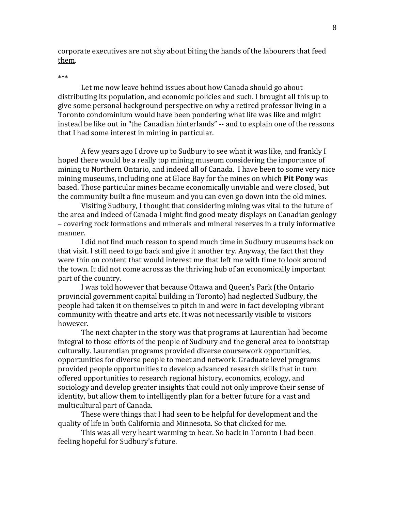corporate executives are not shy about biting the hands of the labourers that feed them.

## \*\*\*

Let me now leave behind issues about how Canada should go about distributing its population, and economic policies and such. I brought all this up to give some personal background perspective on why a retired professor living in a Toronto condominium would have been pondering what life was like and might instead be like out in "the Canadian hinterlands" -- and to explain one of the reasons that I had some interest in mining in particular.

A few years ago I drove up to Sudbury to see what it was like, and frankly I hoped there would be a really top mining museum considering the importance of mining to Northern Ontario, and indeed all of Canada. I have been to some very nice mining museums, including one at Glace Bay for the mines on which **Pit Pony** was based. Those particular mines became economically unviable and were closed, but the community built a fine museum and you can even go down into the old mines.

Visiting Sudbury, I thought that considering mining was vital to the future of the area and indeed of Canada I might find good meaty displays on Canadian geology – covering rock formations and minerals and mineral reserves in a truly informative manner.

I did not find much reason to spend much time in Sudbury museums back on that visit. I still need to go back and give it another try. Anyway, the fact that they were thin on content that would interest me that left me with time to look around the town. It did not come across as the thriving hub of an economically important part of the country.

I was told however that because Ottawa and Queen's Park (the Ontario provincial government capital building in Toronto) had neglected Sudbury, the people had taken it on themselves to pitch in and were in fact developing vibrant community with theatre and arts etc. It was not necessarily visible to visitors however.

The next chapter in the story was that programs at Laurentian had become integral to those efforts of the people of Sudbury and the general area to bootstrap culturally. Laurentian programs provided diverse coursework opportunities, opportunities for diverse people to meet and network. Graduate level programs provided people opportunities to develop advanced research skills that in turn offered opportunities to research regional history, economics, ecology, and sociology and develop greater insights that could not only improve their sense of identity, but allow them to intelligently plan for a better future for a vast and multicultural part of Canada.

These were things that I had seen to be helpful for development and the quality of life in both California and Minnesota. So that clicked for me.

This was all very heart warming to hear. So back in Toronto I had been feeling hopeful for Sudbury's future.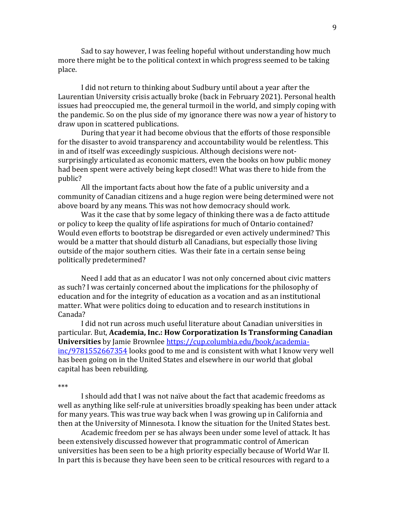Sad to say however, I was feeling hopeful without understanding how much more there might be to the political context in which progress seemed to be taking place.

I did not return to thinking about Sudbury until about a year after the Laurentian University crisis actually broke (back in February 2021). Personal health issues had preoccupied me, the general turmoil in the world, and simply coping with the pandemic. So on the plus side of my ignorance there was now a year of history to draw upon in scattered publications.

During that year it had become obvious that the efforts of those responsible for the disaster to avoid transparency and accountability would be relentless. This in and of itself was exceedingly suspicious. Although decisions were notsurprisingly articulated as economic matters, even the books on how public money had been spent were actively being kept closed!! What was there to hide from the public?

All the important facts about how the fate of a public university and a community of Canadian citizens and a huge region were being determined were not above board by any means. This was not how democracy should work.

Was it the case that by some legacy of thinking there was a de facto attitude or policy to keep the quality of life aspirations for much of Ontario contained? Would even efforts to bootstrap be disregarded or even actively undermined? This would be a matter that should disturb all Canadians, but especially those living outside of the major southern cities. Was their fate in a certain sense being politically predetermined?

Need I add that as an educator I was not only concerned about civic matters as such? I was certainly concerned about the implications for the philosophy of education and for the integrity of education as a vocation and as an institutional matter. What were politics doing to education and to research institutions in Canada?

I did not run across much useful literature about Canadian universities in particular. But, **Academia, Inc.: How Corporatization Is Transforming Canadian Universities** by Jamie Brownlee [https://cup.columbia.edu/book/academia](https://cup.columbia.edu/book/academia-inc/9781552667354)[inc/9781552667354](https://cup.columbia.edu/book/academia-inc/9781552667354) looks good to me and is consistent with what I know very well has been going on in the United States and elsewhere in our world that global capital has been rebuilding.

## \*\*\*

I should add that I was not naïve about the fact that academic freedoms as well as anything like self-rule at universities broadly speaking has been under attack for many years. This was true way back when I was growing up in California and then at the University of Minnesota. I know the situation for the United States best.

Academic freedom per se has always been under some level of attack. It has been extensively discussed however that programmatic control of American universities has been seen to be a high priority especially because of World War II. In part this is because they have been seen to be critical resources with regard to a